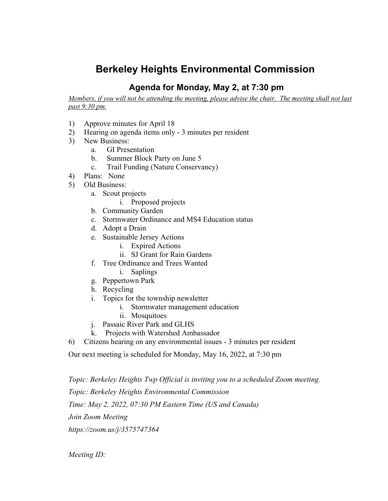## **Berkeley Heights Environmental Commission**

## **Agenda for Monday, May 2, at 7:30 pm**

Members, if you will not be attending the meeting, please advise the chair. The meeting shall not last *past 9:30 pm.*

- 1) Approve minutes for April 18
- 2) Hearing on agenda items only 3 minutes per resident
- 3) New Business:
	- a. GI Presentation
	- b. Summer Block Party on June 5
	- c. Trail Funding (Nature Conservancy)
- 4) Plans: None
- 5) Old Business:
	- a. Scout projects
		- i. Proposed projects
	- b. Community Garden
	- c. Stormwater Ordinance and MS4 Education status
	- d. Adopt a Drain
	- e. Sustainable Jersey Actions
		- i. Expired Actions
		- ii. SJ Grant for Rain Gardens
	- f. Tree Ordinance and Trees Wanted
		- i. Saplings
	- g. Peppertown Park
	- h. Recycling
	- i. Topics for the township newsletter
		- i. Stormwater management education
		- ii. Mosquitoes
	- j. Passaic River Park and GLHS
	- k. Projects with Watershed Ambassador
- 6) Citizens hearing on any environmental issues 3 minutes per resident

Our next meeting is scheduled for Monday, May 16, 2022, at 7:30 pm

*Topic: Berkeley Heights Twp Official is inviting you to a scheduled Zoom meeting. Topic: Berkeley Heights Environmental Commission Time: May 2, 2022, 07:30 PM Eastern Time (US and Canada) Join Zoom Meeting https://zoom.us/j/3575747364*

*Meeting ID:*